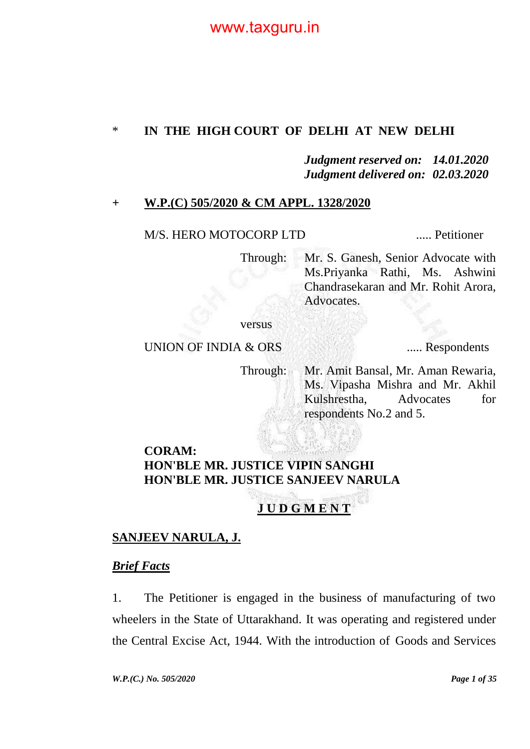### \* **IN THE HIGH COURT OF DELHI AT NEW DELHI**

#### *Judgment reserved on: 14.01.2020 Judgment delivered on: 02.03.2020*

#### **+ W.P.(C) 505/2020 & CM APPL. 1328/2020**

M/S. HERO MOTOCORP LTD ...... Petitioner

Through: Mr. S. Ganesh, Senior Advocate with Ms.Priyanka Rathi, Ms. Ashwini Chandrasekaran and Mr. Rohit Arora, Advocates.

versus

#### UNION OF INDIA & ORS ...... Respondents

Through: Mr. Amit Bansal, Mr. Aman Rewaria, Ms. Vipasha Mishra and Mr. Akhil Kulshrestha, Advocates for respondents No.2 and 5.

### **CORAM: HON'BLE MR. JUSTICE VIPIN SANGHI HON'BLE MR. JUSTICE SANJEEV NARULA**

# **J U D G M E N T**

### **SANJEEV NARULA, J.**

#### *Brief Facts*

1. The Petitioner is engaged in the business of manufacturing of two wheelers in the State of Uttarakhand. It was operating and registered under the Central Excise Act, 1944. With the introduction of Goods and Services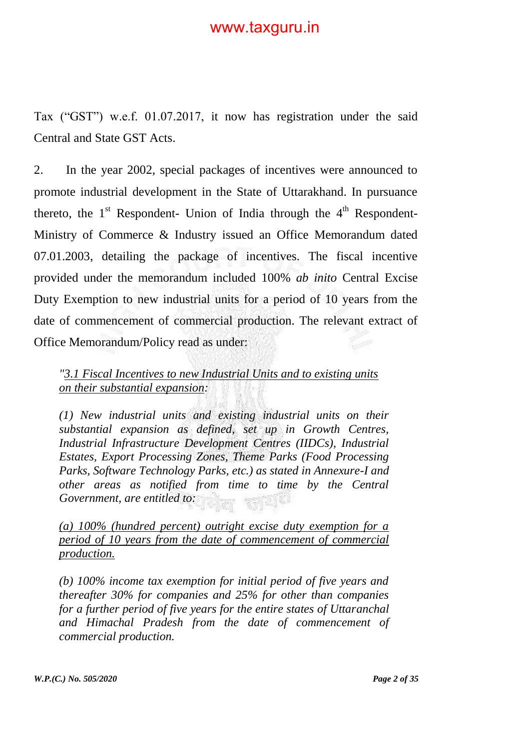Tax ("GST") w.e.f. 01.07.2017, it now has registration under the said Central and State GST Acts.

2. In the year 2002, special packages of incentives were announced to promote industrial development in the State of Uttarakhand. In pursuance thereto, the  $1<sup>st</sup>$  Respondent- Union of India through the  $4<sup>th</sup>$  Respondent-Ministry of Commerce & Industry issued an Office Memorandum dated 07.01.2003, detailing the package of incentives. The fiscal incentive provided under the memorandum included 100% *ab inito* Central Excise Duty Exemption to new industrial units for a period of 10 years from the date of commencement of commercial production. The relevant extract of Office Memorandum/Policy read as under:

*"3.1 Fiscal Incentives to new Industrial Units and to existing units on their substantial expansion:*

*(1) New industrial units and existing industrial units on their substantial expansion as defined, set up in Growth Centres, Industrial Infrastructure Development Centres (IIDCs), Industrial Estates, Export Processing Zones, Theme Parks (Food Processing Parks, Software Technology Parks, etc.) as stated in Annexure-I and other areas as notified from time to time by the Central Government, are entitled to:*

*(a) 100% (hundred percent) outright excise duty exemption for a period of 10 years from the date of commencement of commercial production.*

*(b) 100% income tax exemption for initial period of five years and thereafter 30% for companies and 25% for other than companies for a further period of five years for the entire states of Uttaranchal and Himachal Pradesh from the date of commencement of commercial production.*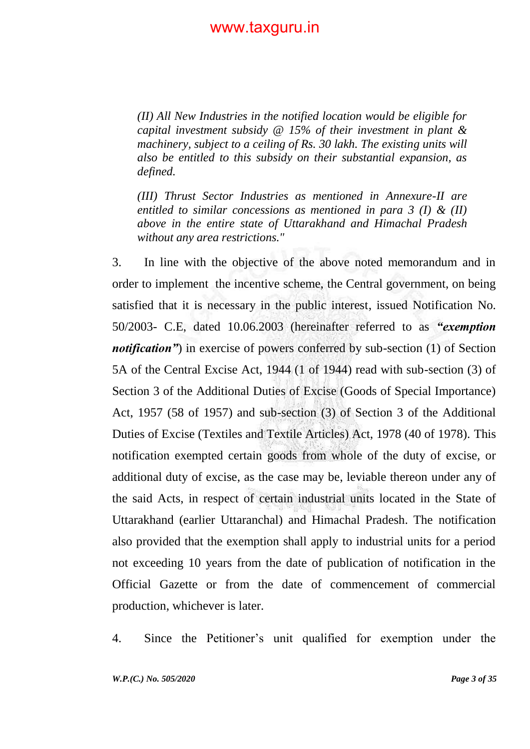*(II) All New Industries in the notified location would be eligible for capital investment subsidy @ 15% of their investment in plant & machinery, subject to a ceiling of Rs. 30 lakh. The existing units will also be entitled to this subsidy on their substantial expansion, as defined.*

*(III) Thrust Sector Industries as mentioned in Annexure-II are entitled to similar concessions as mentioned in para 3 (I) & (II) above in the entire state of Uttarakhand and Himachal Pradesh without any area restrictions."*

3. In line with the objective of the above noted memorandum and in order to implement the incentive scheme, the Central government, on being satisfied that it is necessary in the public interest, issued Notification No. 50/2003- C.E, dated 10.06.2003 (hereinafter referred to as *"exemption notification*") in exercise of powers conferred by sub-section (1) of Section 5A of the Central Excise Act, 1944 (1 of 1944) read with sub-section (3) of Section 3 of the Additional Duties of Excise (Goods of Special Importance) Act, 1957 (58 of 1957) and sub-section (3) of Section 3 of the Additional Duties of Excise (Textiles and Textile Articles) Act, 1978 (40 of 1978). This notification exempted certain goods from whole of the duty of excise, or additional duty of excise, as the case may be, leviable thereon under any of the said Acts, in respect of certain industrial units located in the State of Uttarakhand (earlier Uttaranchal) and Himachal Pradesh. The notification also provided that the exemption shall apply to industrial units for a period not exceeding 10 years from the date of publication of notification in the Official Gazette or from the date of commencement of commercial production, whichever is later.

4. Since the Petitioner"s unit qualified for exemption under the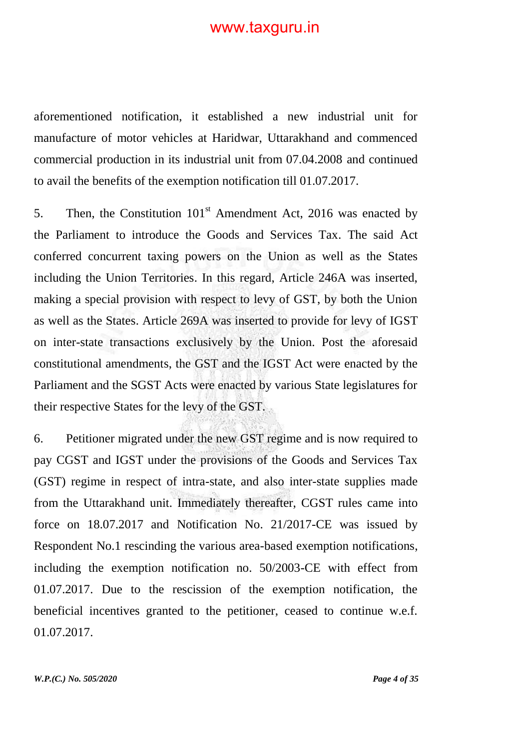aforementioned notification, it established a new industrial unit for manufacture of motor vehicles at Haridwar, Uttarakhand and commenced commercial production in its industrial unit from 07.04.2008 and continued to avail the benefits of the exemption notification till 01.07.2017.

5. Then, the Constitution  $101<sup>st</sup>$  Amendment Act, 2016 was enacted by the Parliament to introduce the Goods and Services Tax. The said Act conferred concurrent taxing powers on the Union as well as the States including the Union Territories. In this regard, Article 246A was inserted, making a special provision with respect to levy of GST, by both the Union as well as the States. Article 269A was inserted to provide for levy of IGST on inter-state transactions exclusively by the Union. Post the aforesaid constitutional amendments, the GST and the IGST Act were enacted by the Parliament and the SGST Acts were enacted by various State legislatures for their respective States for the levy of the GST.

6. Petitioner migrated under the new GST regime and is now required to pay CGST and IGST under the provisions of the Goods and Services Tax (GST) regime in respect of intra-state, and also inter-state supplies made from the Uttarakhand unit. Immediately thereafter, CGST rules came into force on 18.07.2017 and Notification No. 21/2017-CE was issued by Respondent No.1 rescinding the various area-based exemption notifications, including the exemption notification no. 50/2003-CE with effect from 01.07.2017. Due to the rescission of the exemption notification, the beneficial incentives granted to the petitioner, ceased to continue w.e.f. 01.07.2017.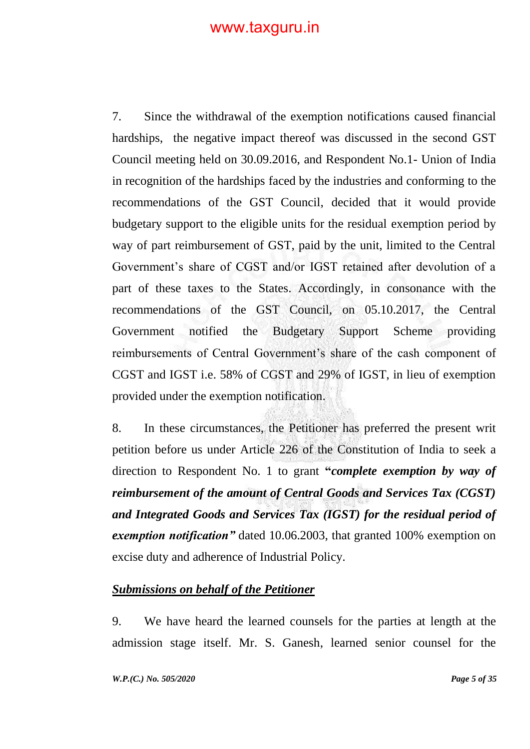7. Since the withdrawal of the exemption notifications caused financial hardships, the negative impact thereof was discussed in the second GST Council meeting held on 30.09.2016, and Respondent No.1- Union of India in recognition of the hardships faced by the industries and conforming to the recommendations of the GST Council, decided that it would provide budgetary support to the eligible units for the residual exemption period by way of part reimbursement of GST, paid by the unit, limited to the Central Government"s share of CGST and/or IGST retained after devolution of a part of these taxes to the States. Accordingly, in consonance with the recommendations of the GST Council, on 05.10.2017, the Central Government notified the Budgetary Support Scheme providing reimbursements of Central Government's share of the cash component of CGST and IGST i.e. 58% of CGST and 29% of IGST, in lieu of exemption provided under the exemption notification.

8. In these circumstances, the Petitioner has preferred the present writ petition before us under Article 226 of the Constitution of India to seek a direction to Respondent No. 1 to grant **"***complete exemption by way of reimbursement of the amount of Central Goods and Services Tax (CGST) and Integrated Goods and Services Tax (IGST) for the residual period of exemption notification"* dated 10.06.2003, that granted 100% exemption on excise duty and adherence of Industrial Policy.

### *Submissions on behalf of the Petitioner*

9. We have heard the learned counsels for the parties at length at the admission stage itself. Mr. S. Ganesh, learned senior counsel for the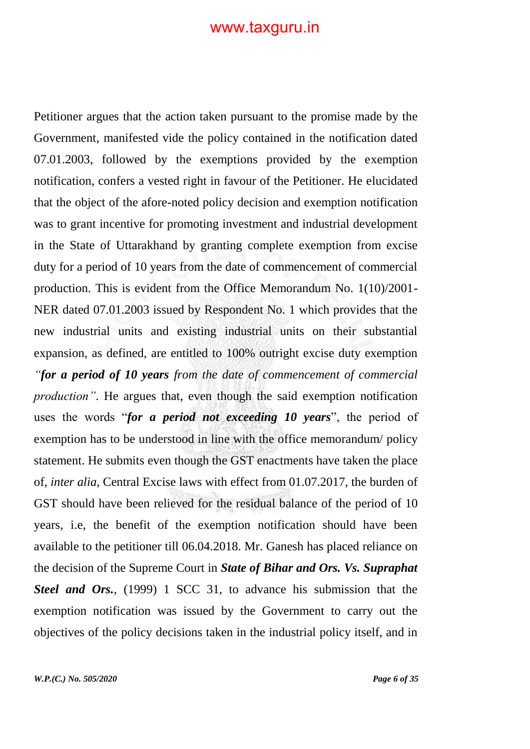Petitioner argues that the action taken pursuant to the promise made by the Government, manifested vide the policy contained in the notification dated 07.01.2003, followed by the exemptions provided by the exemption notification, confers a vested right in favour of the Petitioner. He elucidated that the object of the afore-noted policy decision and exemption notification was to grant incentive for promoting investment and industrial development in the State of Uttarakhand by granting complete exemption from excise duty for a period of 10 years from the date of commencement of commercial production. This is evident from the Office Memorandum No. 1(10)/2001- NER dated 07.01.2003 issued by Respondent No. 1 which provides that the new industrial units and existing industrial units on their substantial expansion, as defined, are entitled to 100% outright excise duty exemption *"for a period of 10 years from the date of commencement of commercial production"*. He argues that, even though the said exemption notification uses the words "*for a period not exceeding 10 years*", the period of exemption has to be understood in line with the office memorandum/ policy statement. He submits even though the GST enactments have taken the place of, *inter alia*, Central Excise laws with effect from 01.07.2017, the burden of GST should have been relieved for the residual balance of the period of 10 years, i.e, the benefit of the exemption notification should have been available to the petitioner till 06.04.2018. Mr. Ganesh has placed reliance on the decision of the Supreme Court in *State of Bihar and Ors. Vs. Supraphat Steel and Ors.*, (1999) 1 SCC 31, to advance his submission that the exemption notification was issued by the Government to carry out the objectives of the policy decisions taken in the industrial policy itself, and in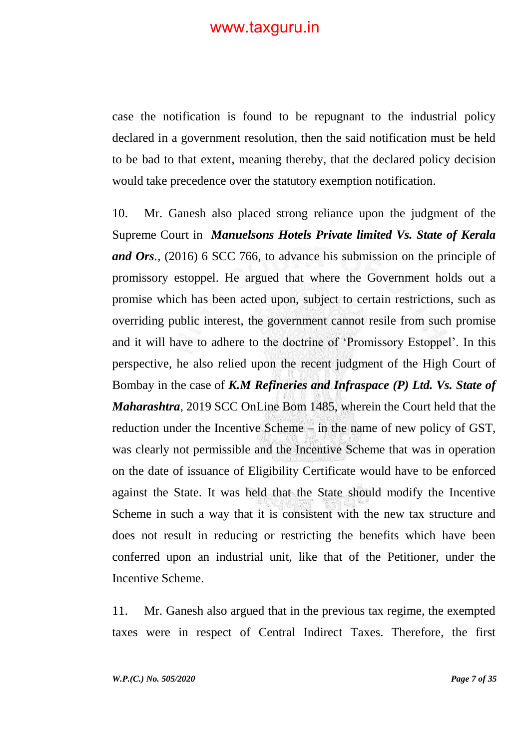case the notification is found to be repugnant to the industrial policy declared in a government resolution, then the said notification must be held to be bad to that extent, meaning thereby, that the declared policy decision would take precedence over the statutory exemption notification.

10. Mr. Ganesh also placed strong reliance upon the judgment of the Supreme Court in *Manuelsons Hotels Private limited Vs. State of Kerala and Ors.,* (2016) 6 SCC 766*,* to advance his submission on the principle of promissory estoppel. He argued that where the Government holds out a promise which has been acted upon, subject to certain restrictions, such as overriding public interest, the government cannot resile from such promise and it will have to adhere to the doctrine of "Promissory Estoppel". In this perspective, he also relied upon the recent judgment of the High Court of Bombay in the case of *K.M Refineries and Infraspace (P) Ltd. Vs. State of Maharashtra*, 2019 SCC OnLine Bom 1485, wherein the Court held that the reduction under the Incentive Scheme – in the name of new policy of GST, was clearly not permissible and the Incentive Scheme that was in operation on the date of issuance of Eligibility Certificate would have to be enforced against the State. It was held that the State should modify the Incentive Scheme in such a way that it is consistent with the new tax structure and does not result in reducing or restricting the benefits which have been conferred upon an industrial unit, like that of the Petitioner, under the Incentive Scheme.

11. Mr. Ganesh also argued that in the previous tax regime, the exempted taxes were in respect of Central Indirect Taxes. Therefore, the first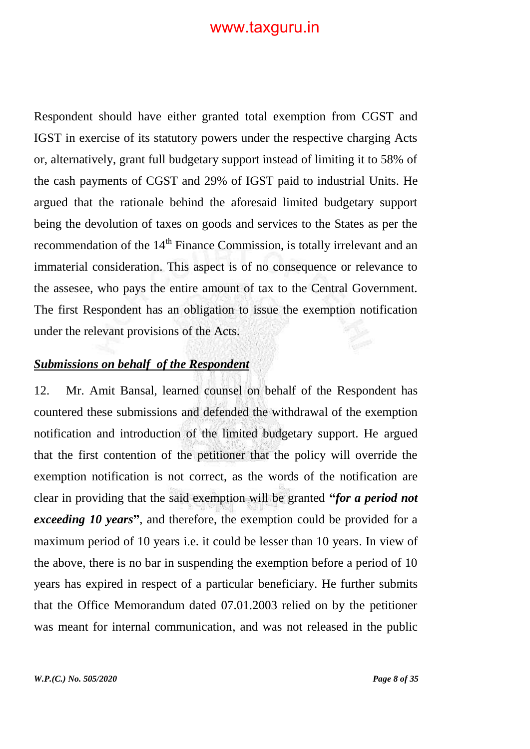Respondent should have either granted total exemption from CGST and IGST in exercise of its statutory powers under the respective charging Acts or, alternatively, grant full budgetary support instead of limiting it to 58% of the cash payments of CGST and 29% of IGST paid to industrial Units. He argued that the rationale behind the aforesaid limited budgetary support being the devolution of taxes on goods and services to the States as per the recommendation of the 14<sup>th</sup> Finance Commission, is totally irrelevant and an immaterial consideration. This aspect is of no consequence or relevance to the assesee, who pays the entire amount of tax to the Central Government. The first Respondent has an obligation to issue the exemption notification under the relevant provisions of the Acts.

#### *Submissions on behalf of the Respondent*

12. Mr. Amit Bansal, learned counsel on behalf of the Respondent has countered these submissions and defended the withdrawal of the exemption notification and introduction of the limited budgetary support. He argued that the first contention of the petitioner that the policy will override the exemption notification is not correct, as the words of the notification are clear in providing that the said exemption will be granted **"***for a period not exceeding 10 years***"**, and therefore, the exemption could be provided for a maximum period of 10 years i.e. it could be lesser than 10 years. In view of the above, there is no bar in suspending the exemption before a period of 10 years has expired in respect of a particular beneficiary. He further submits that the Office Memorandum dated 07.01.2003 relied on by the petitioner was meant for internal communication, and was not released in the public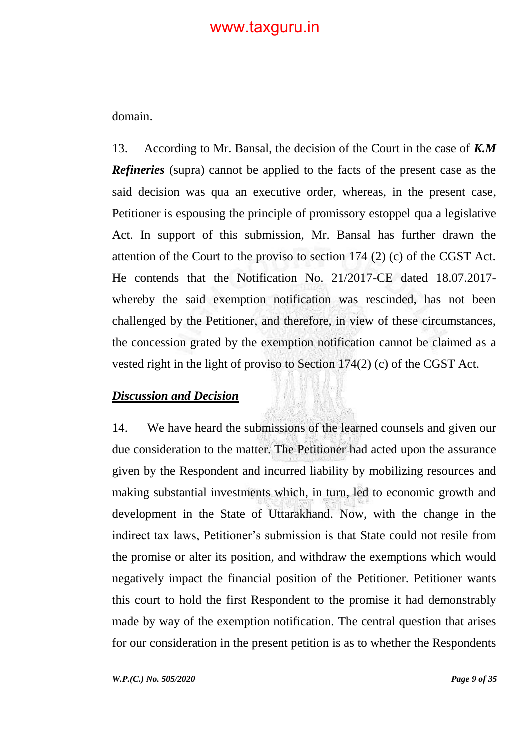domain.

13. According to Mr. Bansal, the decision of the Court in the case of *K.M Refineries* (supra) cannot be applied to the facts of the present case as the said decision was qua an executive order, whereas, in the present case, Petitioner is espousing the principle of promissory estoppel qua a legislative Act. In support of this submission, Mr. Bansal has further drawn the attention of the Court to the proviso to section 174 (2) (c) of the CGST Act. He contends that the Notification No. 21/2017-CE dated 18.07.2017 whereby the said exemption notification was rescinded, has not been challenged by the Petitioner, and therefore, in view of these circumstances, the concession grated by the exemption notification cannot be claimed as a vested right in the light of proviso to Section 174(2) (c) of the CGST Act.

#### *Discussion and Decision*

14. We have heard the submissions of the learned counsels and given our due consideration to the matter. The Petitioner had acted upon the assurance given by the Respondent and incurred liability by mobilizing resources and making substantial investments which, in turn, led to economic growth and development in the State of Uttarakhand. Now, with the change in the indirect tax laws, Petitioner's submission is that State could not resile from the promise or alter its position, and withdraw the exemptions which would negatively impact the financial position of the Petitioner. Petitioner wants this court to hold the first Respondent to the promise it had demonstrably made by way of the exemption notification. The central question that arises for our consideration in the present petition is as to whether the Respondents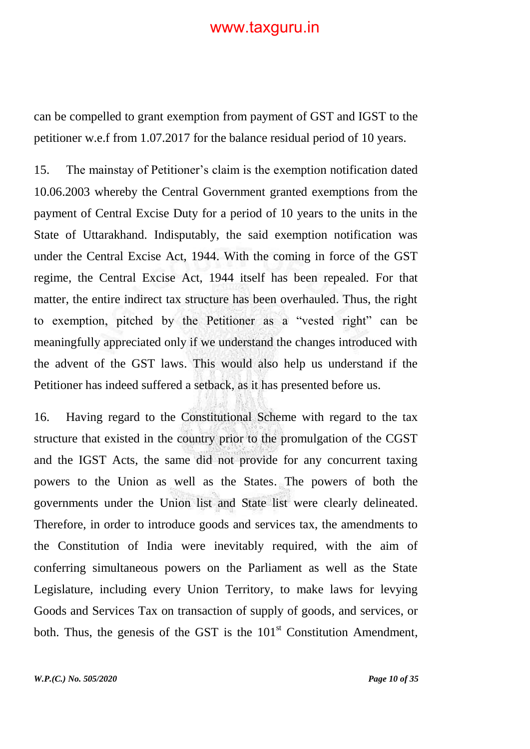can be compelled to grant exemption from payment of GST and IGST to the petitioner w.e.f from 1.07.2017 for the balance residual period of 10 years.

15. The mainstay of Petitioner"s claim is the exemption notification dated 10.06.2003 whereby the Central Government granted exemptions from the payment of Central Excise Duty for a period of 10 years to the units in the State of Uttarakhand. Indisputably, the said exemption notification was under the Central Excise Act, 1944. With the coming in force of the GST regime, the Central Excise Act, 1944 itself has been repealed. For that matter, the entire indirect tax structure has been overhauled. Thus, the right to exemption, pitched by the Petitioner as a "vested right" can be meaningfully appreciated only if we understand the changes introduced with the advent of the GST laws. This would also help us understand if the Petitioner has indeed suffered a setback, as it has presented before us.

16. Having regard to the Constitutional Scheme with regard to the tax structure that existed in the country prior to the promulgation of the CGST and the IGST Acts, the same did not provide for any concurrent taxing powers to the Union as well as the States. The powers of both the governments under the Union list and State list were clearly delineated. Therefore, in order to introduce goods and services tax, the amendments to the Constitution of India were inevitably required, with the aim of conferring simultaneous powers on the Parliament as well as the State Legislature, including every Union Territory, to make laws for levying Goods and Services Tax on transaction of supply of goods, and services, or both. Thus, the genesis of the GST is the  $101<sup>st</sup>$  Constitution Amendment,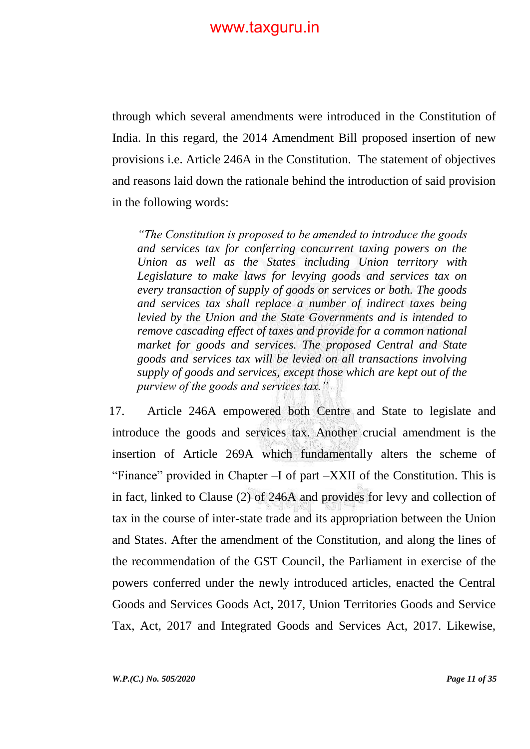through which several amendments were introduced in the Constitution of India. In this regard, the 2014 Amendment Bill proposed insertion of new provisions i.e. Article 246A in the Constitution. The statement of objectives and reasons laid down the rationale behind the introduction of said provision in the following words:

*"The Constitution is proposed to be amended to introduce the goods and services tax for conferring concurrent taxing powers on the Union as well as the States including Union territory with Legislature to make laws for levying goods and services tax on every transaction of supply of goods or services or both. The goods and services tax shall replace a number of indirect taxes being levied by the Union and the State Governments and is intended to remove cascading effect of taxes and provide for a common national market for goods and services. The proposed Central and State goods and services tax will be levied on all transactions involving supply of goods and services, except those which are kept out of the purview of the goods and services tax."*

17. Article 246A empowered both Centre and State to legislate and introduce the goods and services tax. Another crucial amendment is the insertion of Article 269A which fundamentally alters the scheme of "Finance" provided in Chapter –I of part –XXII of the Constitution. This is in fact, linked to Clause (2) of 246A and provides for levy and collection of tax in the course of inter-state trade and its appropriation between the Union and States. After the amendment of the Constitution, and along the lines of the recommendation of the GST Council, the Parliament in exercise of the powers conferred under the newly introduced articles, enacted the Central Goods and Services Goods Act, 2017, Union Territories Goods and Service Tax, Act, 2017 and Integrated Goods and Services Act, 2017. Likewise,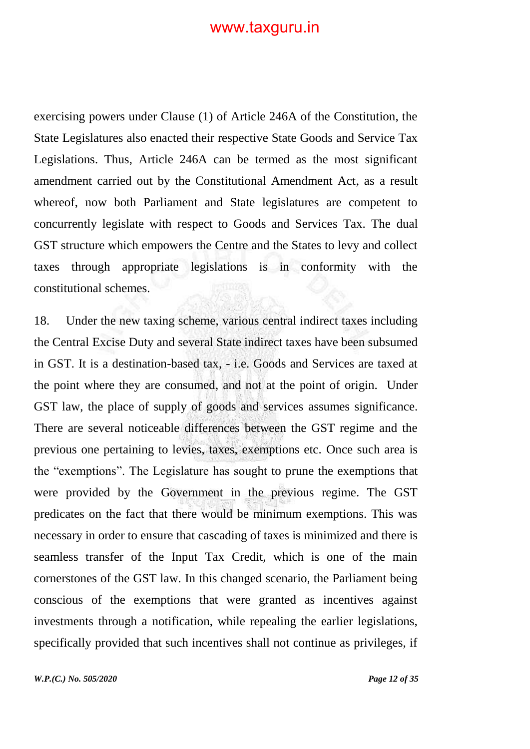exercising powers under Clause (1) of Article 246A of the Constitution, the State Legislatures also enacted their respective State Goods and Service Tax Legislations. Thus, Article 246A can be termed as the most significant amendment carried out by the Constitutional Amendment Act, as a result whereof, now both Parliament and State legislatures are competent to concurrently legislate with respect to Goods and Services Tax. The dual GST structure which empowers the Centre and the States to levy and collect taxes through appropriate legislations is in conformity with the constitutional schemes.

18. Under the new taxing scheme, various central indirect taxes including the Central Excise Duty and several State indirect taxes have been subsumed in GST. It is a destination-based tax, - i.e. Goods and Services are taxed at the point where they are consumed, and not at the point of origin. Under GST law, the place of supply of goods and services assumes significance. There are several noticeable differences between the GST regime and the previous one pertaining to levies, taxes, exemptions etc. Once such area is the "exemptions". The Legislature has sought to prune the exemptions that were provided by the Government in the previous regime. The GST predicates on the fact that there would be minimum exemptions. This was necessary in order to ensure that cascading of taxes is minimized and there is seamless transfer of the Input Tax Credit, which is one of the main cornerstones of the GST law. In this changed scenario, the Parliament being conscious of the exemptions that were granted as incentives against investments through a notification, while repealing the earlier legislations, specifically provided that such incentives shall not continue as privileges, if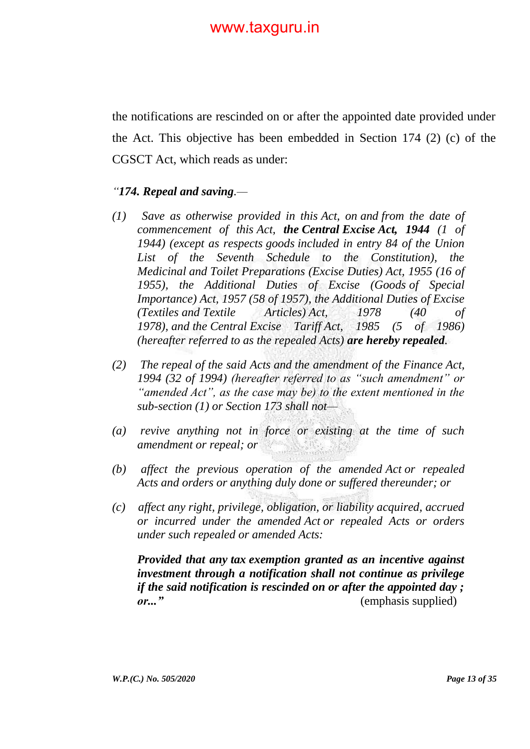the notifications are rescinded on or after the appointed date provided under the Act. This objective has been embedded in Section 174 (2) (c) of the CGSCT Act, which reads as under:

#### *"174. Repeal and saving.—*

- *(1) Save as otherwise provided in this Act, on and from the date of commencement of this Act, the Central Excise Act, 1944 (1 of 1944) (except as respects goods included in entry 84 of the Union List of the Seventh Schedule to the Constitution), the Medicinal and Toilet Preparations (Excise Duties) Act, 1955 (16 of 1955), the Additional Duties of Excise (Goods of Special Importance) Act, 1957 (58 of 1957), the Additional Duties of Excise (Textiles and Textile Articles) Act, 1978 (40 of 1978), and the Central Excise Tariff Act, 1985 (5 of 1986) (hereafter referred to as the repealed Acts) are hereby repealed.*
- *(2) The repeal of the said Acts and the amendment of the Finance Act, 1994 (32 of 1994) (hereafter referred to as "such amendment" or "amended Act", as the case may be) to the extent mentioned in the sub-section (1) or Section 173 shall not—*
- *(a) revive anything not in force or existing at the time of such amendment or repeal; or*
- *(b) affect the previous operation of the amended Act or repealed Acts and orders or anything duly done or suffered thereunder; or*
- *(c) affect any right, privilege, obligation, or liability acquired, accrued or incurred under the amended Act or repealed Acts or orders under such repealed or amended Acts:*

*Provided that any tax exemption granted as an incentive against investment through a notification shall not continue as privilege if the said notification is rescinded on or after the appointed day ; or..."*(emphasis supplied)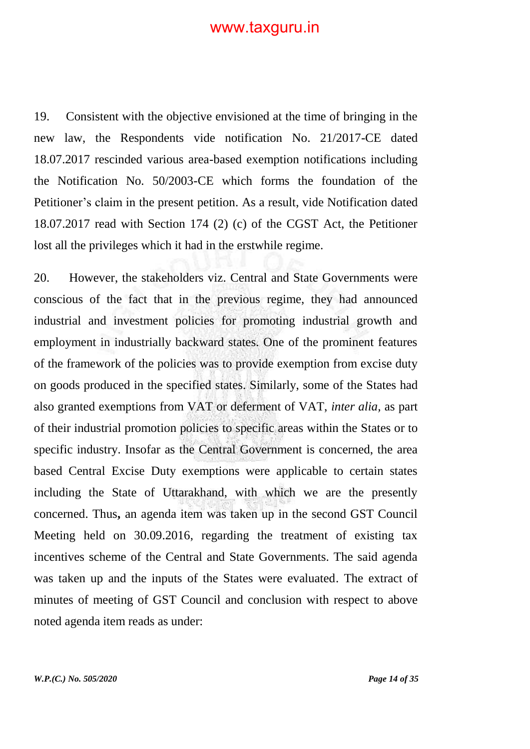19. Consistent with the objective envisioned at the time of bringing in the new law, the Respondents vide notification No. 21/2017-CE dated 18.07.2017 rescinded various area-based exemption notifications including the Notification No. 50/2003-CE which forms the foundation of the Petitioner's claim in the present petition. As a result, vide Notification dated 18.07.2017 read with Section 174 (2) (c) of the CGST Act, the Petitioner lost all the privileges which it had in the erstwhile regime.

20. However, the stakeholders viz. Central and State Governments were conscious of the fact that in the previous regime, they had announced industrial and investment policies for promoting industrial growth and employment in industrially backward states. One of the prominent features of the framework of the policies was to provide exemption from excise duty on goods produced in the specified states. Similarly, some of the States had also granted exemptions from VAT or deferment of VAT, *inter alia,* as part of their industrial promotion policies to specific areas within the States or to specific industry. Insofar as the Central Government is concerned, the area based Central Excise Duty exemptions were applicable to certain states including the State of Uttarakhand, with which we are the presently concerned. Thus**,** an agenda item was taken up in the second GST Council Meeting held on 30.09.2016, regarding the treatment of existing tax incentives scheme of the Central and State Governments. The said agenda was taken up and the inputs of the States were evaluated. The extract of minutes of meeting of GST Council and conclusion with respect to above noted agenda item reads as under: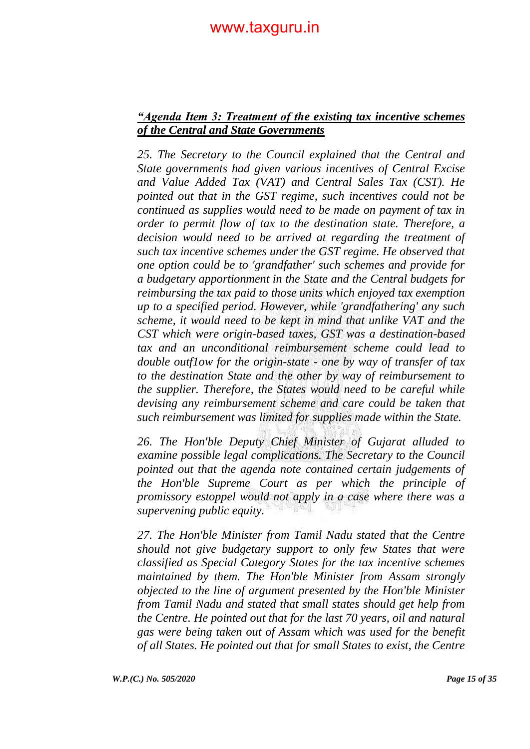#### *"Agenda Item 3: Treatment of the existing tax incentive schemes of the Central and State Governments*

*25. The Secretary to the Council explained that the Central and State governments had given various incentives of Central Excise and Value Added Tax (VAT) and Central Sales Tax (CST). He pointed out that in the GST regime, such incentives could not be continued as supplies would need to be made on payment of tax in order to permit flow of tax to the destination state. Therefore, a decision would need to be arrived at regarding the treatment of such tax incentive schemes under the GST regime. He observed that one option could be to 'grandfather' such schemes and provide for a budgetary apportionment in the State and the Central budgets for reimbursing the tax paid to those units which enjoyed tax exemption up to a specified period. However, while 'grandfathering' any such scheme, it would need to be kept in mind that unlike VAT and the CST which were origin-based taxes, GST was a destination-based tax and an unconditional reimbursement scheme could lead to double outf1ow for the origin-state - one by way of transfer of tax to the destination State and the other by way of reimbursement to the supplier. Therefore, the States would need to be careful while devising any reimbursement scheme and care could be taken that such reimbursement was limited for supplies made within the State.*

*26. The Hon'ble Deputy Chief Minister of Gujarat alluded to examine possible legal complications. The Secretary to the Council pointed out that the agenda note contained certain judgements of the Hon'ble Supreme Court as per which the principle of promissory estoppel would not apply in a case where there was a supervening public equity.*

*27. The Hon'ble Minister from Tamil Nadu stated that the Centre should not give budgetary support to only few States that were classified as Special Category States for the tax incentive schemes maintained by them. The Hon'ble Minister from Assam strongly objected to the line of argument presented by the Hon'ble Minister from Tamil Nadu and stated that small states should get help from the Centre. He pointed out that for the last 70 years, oil and natural gas were being taken out of Assam which was used for the benefit of all States. He pointed out that for small States to exist, the Centre*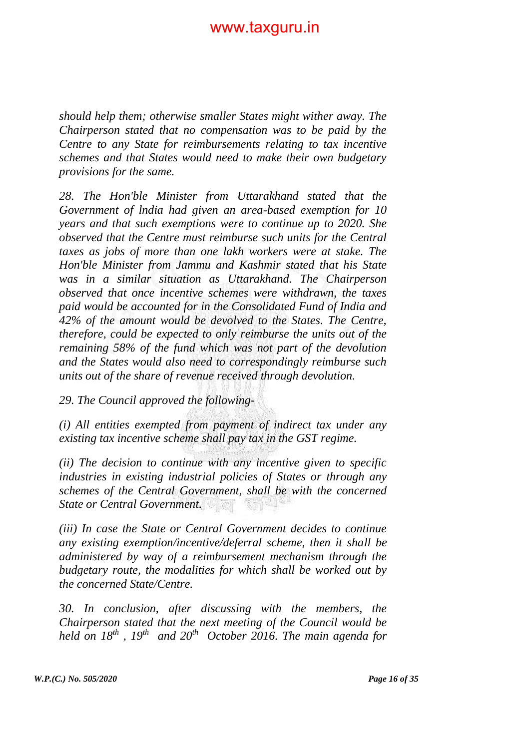*should help them; otherwise smaller States might wither away. The Chairperson stated that no compensation was to be paid by the Centre to any State for reimbursements relating to tax incentive schemes and that States would need to make their own budgetary provisions for the same.* 

*28. The Hon'ble Minister from Uttarakhand stated that the Government of lndia had given an area-based exemption for 10 years and that such exemptions were to continue up to 2020. She observed that the Centre must reimburse such units for the Central taxes as jobs of more than one lakh workers were at stake. The Hon'ble Minister from Jammu and Kashmir stated that his State was in a similar situation as Uttarakhand. The Chairperson observed that once incentive schemes were withdrawn, the taxes paid would be accounted for in the Consolidated Fund of India and 42% of the amount would be devolved to the States. The Centre, therefore, could be expected to only reimburse the units out of the remaining 58% of the fund which was not part of the devolution and the States would also need to correspondingly reimburse such units out of the share of revenue received through devolution.* 

*29. The Council approved the following-*

*(i) All entities exempted from payment of indirect tax under any existing tax incentive scheme shall pay tax in the GST regime.*

*(ii) The decision to continue with any incentive given to specific industries in existing industrial policies of States or through any schemes of the Central Government, shall be with the concerned State or Central Government.*

*(iii) In case the State or Central Government decides to continue any existing exemption/incentive/deferral scheme, then it shall be administered by way of a reimbursement mechanism through the budgetary route, the modalities for which shall be worked out by the concerned State/Centre.*

*30. In conclusion, after discussing with the members, the Chairperson stated that the next meeting of the Council would be held on 18th , 19th and 20th October 2016. The main agenda for*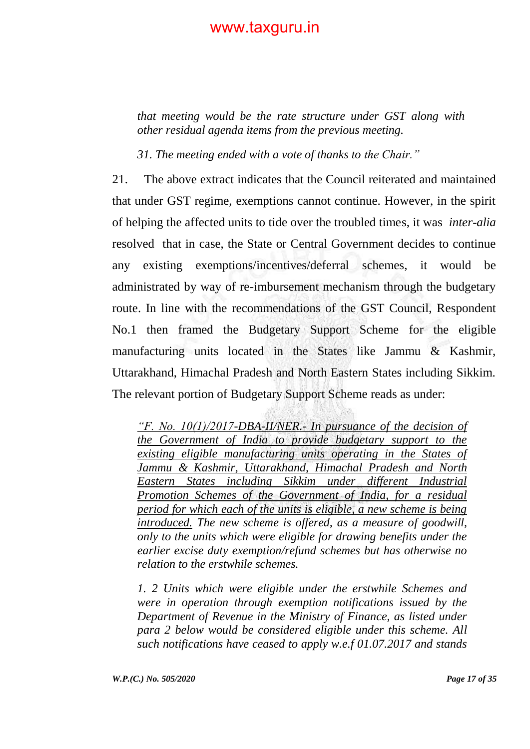*that meeting would be the rate structure under GST along with other residual agenda items from the previous meeting.*

*31. The meeting ended with a vote of thanks to the Chair."*

21. The above extract indicates that the Council reiterated and maintained that under GST regime, exemptions cannot continue. However, in the spirit of helping the affected units to tide over the troubled times, it was *inter-alia*  resolved that in case, the State or Central Government decides to continue any existing exemptions/incentives/deferral schemes, it would be administrated by way of re-imbursement mechanism through the budgetary route. In line with the recommendations of the GST Council, Respondent No.1 then framed the Budgetary Support Scheme for the eligible manufacturing units located in the States like Jammu & Kashmir, Uttarakhand, Himachal Pradesh and North Eastern States including Sikkim. The relevant portion of Budgetary Support Scheme reads as under:

*"F. No. 10(1)/2017-DBA-II/NER.- In pursuance of the decision of the Government of India to provide budgetary support to the existing eligible manufacturing units operating in the States of Jammu & Kashmir, Uttarakhand, Himachal Pradesh and North Eastern States including Sikkim under different Industrial Promotion Schemes of the Government of India, for a residual period for which each of the units is eligible, a new scheme is being introduced. The new scheme is offered, as a measure of goodwill, only to the units which were eligible for drawing benefits under the earlier excise duty exemption/refund schemes but has otherwise no relation to the erstwhile schemes.*

*1. 2 Units which were eligible under the erstwhile Schemes and were in operation through exemption notifications issued by the Department of Revenue in the Ministry of Finance, as listed under para 2 below would be considered eligible under this scheme. All such notifications have ceased to apply w.e.f 01.07.2017 and stands*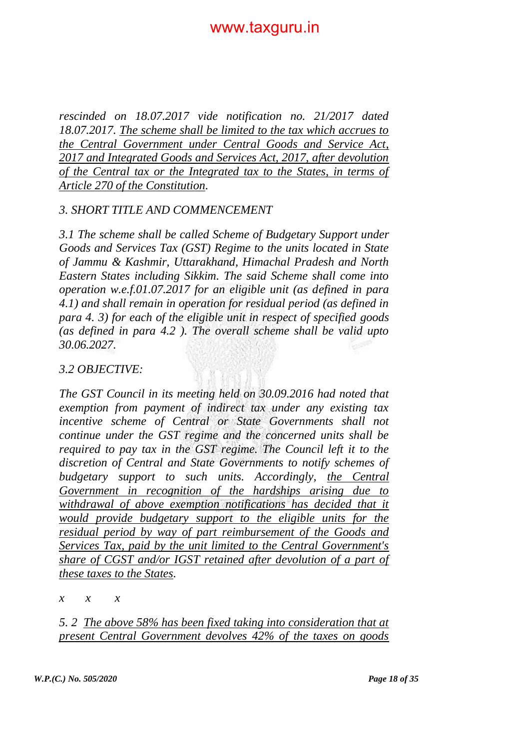*rescinded on 18.07.2017 vide notification no. 21/2017 dated 18.07.2017. The scheme shall be limited to the tax which accrues to the Central Government under Central Goods and Service Act, 2017 and Integrated Goods and Services Act, 2017, after devolution of the Central tax or the Integrated tax to the States, in terms of Article 270 of the Constitution.*

#### *3. SHORT TITLE AND COMMENCEMENT*

*3.1 The scheme shall be called Scheme of Budgetary Support under Goods and Services Tax (GST) Regime to the units located in State of Jammu & Kashmir, Uttarakhand, Himachal Pradesh and North Eastern States including Sikkim. The said Scheme shall come into operation w.e.f.01.07.2017 for an eligible unit (as defined in para 4.1) and shall remain in operation for residual period (as defined in para 4. 3) for each of the eligible unit in respect of specified goods (as defined in para 4.2 ). The overall scheme shall be valid upto 30.06.2027.*

#### *3.2 OBJECTIVE:*

*The GST Council in its meeting held on 30.09.2016 had noted that exemption from payment of indirect tax under any existing tax incentive scheme of Central or State Governments shall not continue under the GST regime and the concerned units shall be required to pay tax in the GST regime. The Council left it to the discretion of Central and State Governments to notify schemes of budgetary support to such units. Accordingly, the Central Government in recognition of the hardships arising due to withdrawal of above exemption notifications has decided that it would provide budgetary support to the eligible units for the residual period by way of part reimbursement of the Goods and Services Tax, paid by the unit limited to the Central Government's share of CGST and/or IGST retained after devolution of a part of these taxes to the States.*

*x x x*

*5. 2 The above 58% has been fixed taking into consideration that at present Central Government devolves 42% of the taxes on goods*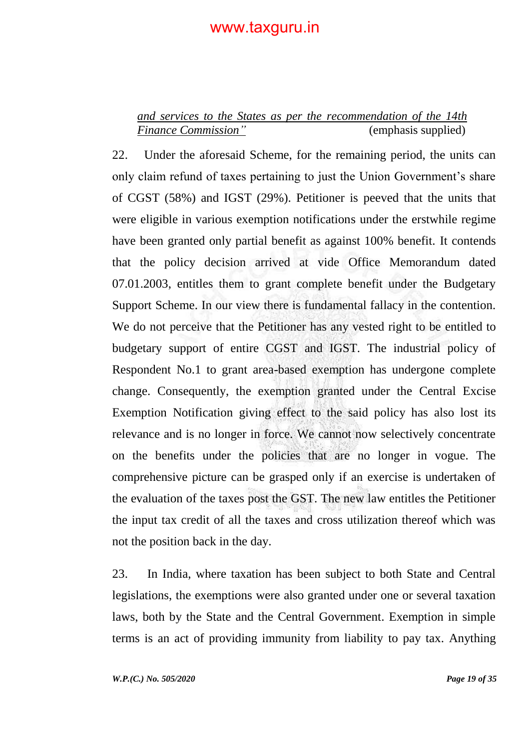### *and services to the States as per the recommendation of the 14th Finance Commission"* (emphasis supplied)

22. Under the aforesaid Scheme, for the remaining period, the units can only claim refund of taxes pertaining to just the Union Government's share of CGST (58%) and IGST (29%). Petitioner is peeved that the units that were eligible in various exemption notifications under the erstwhile regime have been granted only partial benefit as against 100% benefit. It contends that the policy decision arrived at vide Office Memorandum dated 07.01.2003, entitles them to grant complete benefit under the Budgetary Support Scheme. In our view there is fundamental fallacy in the contention. We do not perceive that the Petitioner has any vested right to be entitled to budgetary support of entire CGST and IGST. The industrial policy of Respondent No.1 to grant area-based exemption has undergone complete change. Consequently, the exemption granted under the Central Excise Exemption Notification giving effect to the said policy has also lost its relevance and is no longer in force. We cannot now selectively concentrate on the benefits under the policies that are no longer in vogue. The comprehensive picture can be grasped only if an exercise is undertaken of the evaluation of the taxes post the GST. The new law entitles the Petitioner the input tax credit of all the taxes and cross utilization thereof which was not the position back in the day.

23. In India, where taxation has been subject to both State and Central legislations, the exemptions were also granted under one or several taxation laws, both by the State and the Central Government. Exemption in simple terms is an act of providing immunity from liability to pay tax. Anything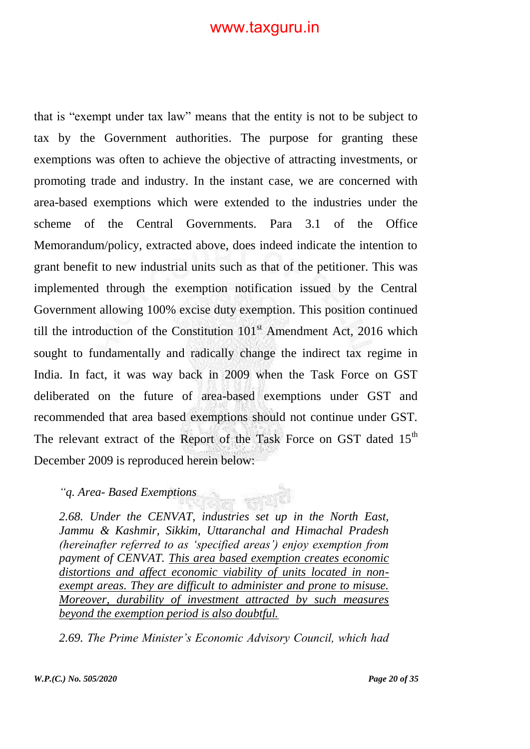that is "exempt under tax law" means that the entity is not to be subject to tax by the Government authorities. The purpose for granting these exemptions was often to achieve the objective of attracting investments, or promoting trade and industry. In the instant case, we are concerned with area-based exemptions which were extended to the industries under the scheme of the Central Governments. Para 3.1 of the Office Memorandum/policy, extracted above, does indeed indicate the intention to grant benefit to new industrial units such as that of the petitioner. This was implemented through the exemption notification issued by the Central Government allowing 100% excise duty exemption. This position continued till the introduction of the Constitution  $101<sup>st</sup>$  Amendment Act, 2016 which sought to fundamentally and radically change the indirect tax regime in India. In fact, it was way back in 2009 when the Task Force on GST deliberated on the future of area-based exemptions under GST and recommended that area based exemptions should not continue under GST. The relevant extract of the Report of the Task Force on GST dated  $15<sup>th</sup>$ December 2009 is reproduced herein below:

#### *"q. Area- Based Exemptions*

*2.68. Under the CENVAT, industries set up in the North East, Jammu & Kashmir, Sikkim, Uttaranchal and Himachal Pradesh (hereinafter referred to as "specified areas") enjoy exemption from payment of CENVAT. This area based exemption creates economic distortions and affect economic viability of units located in nonexempt areas. They are difficult to administer and prone to misuse. Moreover, durability of investment attracted by such measures beyond the exemption period is also doubtful.*

*2.69. The Prime Minister"s Economic Advisory Council, which had*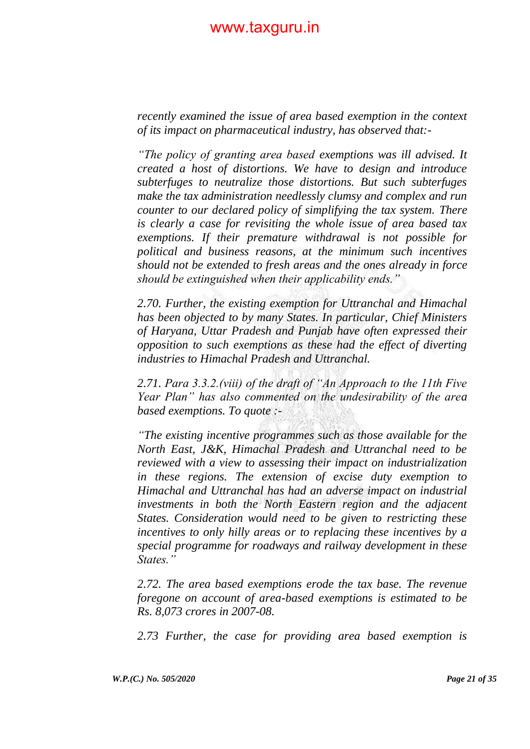*recently examined the issue of area based exemption in the context of its impact on pharmaceutical industry, has observed that:-*

*"The policy of granting area based exemptions was ill advised. It created a host of distortions. We have to design and introduce subterfuges to neutralize those distortions. But such subterfuges make the tax administration needlessly clumsy and complex and run counter to our declared policy of simplifying the tax system. There is clearly a case for revisiting the whole issue of area based tax exemptions. If their premature withdrawal is not possible for political and business reasons, at the minimum such incentives should not be extended to fresh areas and the ones already in force should be extinguished when their applicability ends."* 

*2.70. Further, the existing exemption for Uttranchal and Himachal has been objected to by many States. In particular, Chief Ministers of Haryana, Uttar Pradesh and Punjab have often expressed their opposition to such exemptions as these had the effect of diverting industries to Himachal Pradesh and Uttranchal.* 

*2.71. Para 3.3.2.(viii) of the draft of "An Approach to the 11th Five Year Plan" has also commented on the undesirability of the area based exemptions. To quote :-*

*"The existing incentive programmes such as those available for the North East, J&K, Himachal Pradesh and Uttranchal need to be reviewed with a view to assessing their impact on industrialization in these regions. The extension of excise duty exemption to Himachal and Uttranchal has had an adverse impact on industrial investments in both the North Eastern region and the adjacent States. Consideration would need to be given to restricting these incentives to only hilly areas or to replacing these incentives by a special programme for roadways and railway development in these States."* 

*2.72. The area based exemptions erode the tax base. The revenue foregone on account of area-based exemptions is estimated to be Rs. 8,073 crores in 2007-08.*

*2.73 Further, the case for providing area based exemption is*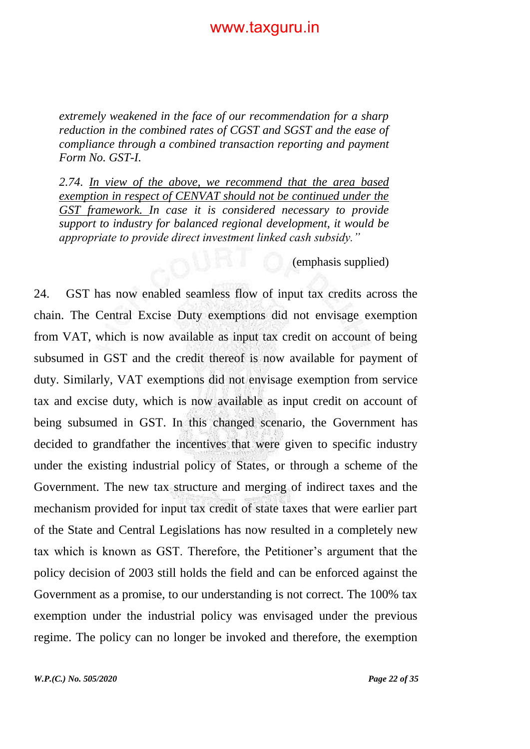*extremely weakened in the face of our recommendation for a sharp reduction in the combined rates of CGST and SGST and the ease of compliance through a combined transaction reporting and payment Form No. GST-I.* 

*2.74. In view of the above, we recommend that the area based exemption in respect of CENVAT should not be continued under the GST framework. In case it is considered necessary to provide support to industry for balanced regional development, it would be appropriate to provide direct investment linked cash subsidy."*

(emphasis supplied)

24. GST has now enabled seamless flow of input tax credits across the chain. The Central Excise Duty exemptions did not envisage exemption from VAT, which is now available as input tax credit on account of being subsumed in GST and the credit thereof is now available for payment of duty. Similarly, VAT exemptions did not envisage exemption from service tax and excise duty, which is now available as input credit on account of being subsumed in GST. In this changed scenario, the Government has decided to grandfather the incentives that were given to specific industry under the existing industrial policy of States, or through a scheme of the Government. The new tax structure and merging of indirect taxes and the mechanism provided for input tax credit of state taxes that were earlier part of the State and Central Legislations has now resulted in a completely new tax which is known as GST. Therefore, the Petitioner"s argument that the policy decision of 2003 still holds the field and can be enforced against the Government as a promise, to our understanding is not correct. The 100% tax exemption under the industrial policy was envisaged under the previous regime. The policy can no longer be invoked and therefore, the exemption

*W.P.(C.) No. 505/2020 Page 22 of 35*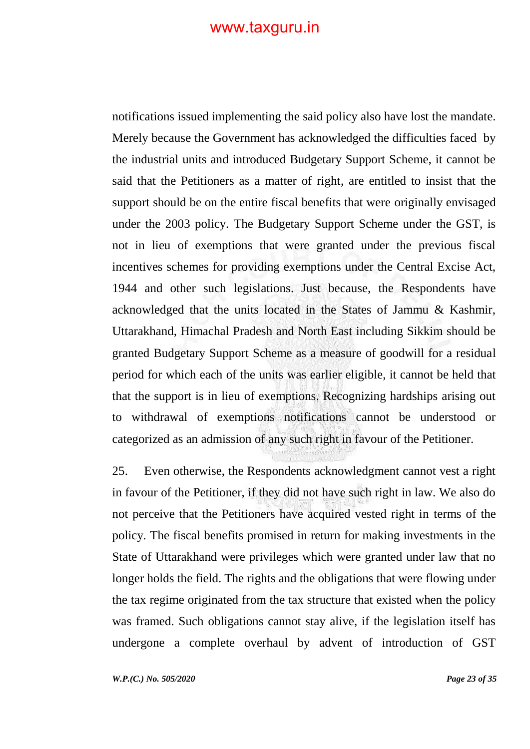notifications issued implementing the said policy also have lost the mandate. Merely because the Government has acknowledged the difficulties faced by the industrial units and introduced Budgetary Support Scheme, it cannot be said that the Petitioners as a matter of right, are entitled to insist that the support should be on the entire fiscal benefits that were originally envisaged under the 2003 policy. The Budgetary Support Scheme under the GST, is not in lieu of exemptions that were granted under the previous fiscal incentives schemes for providing exemptions under the Central Excise Act, 1944 and other such legislations. Just because, the Respondents have acknowledged that the units located in the States of Jammu & Kashmir, Uttarakhand, Himachal Pradesh and North East including Sikkim should be granted Budgetary Support Scheme as a measure of goodwill for a residual period for which each of the units was earlier eligible, it cannot be held that that the support is in lieu of exemptions. Recognizing hardships arising out to withdrawal of exemptions notifications cannot be understood or categorized as an admission of any such right in favour of the Petitioner.

25. Even otherwise, the Respondents acknowledgment cannot vest a right in favour of the Petitioner, if they did not have such right in law. We also do not perceive that the Petitioners have acquired vested right in terms of the policy. The fiscal benefits promised in return for making investments in the State of Uttarakhand were privileges which were granted under law that no longer holds the field. The rights and the obligations that were flowing under the tax regime originated from the tax structure that existed when the policy was framed. Such obligations cannot stay alive, if the legislation itself has undergone a complete overhaul by advent of introduction of GST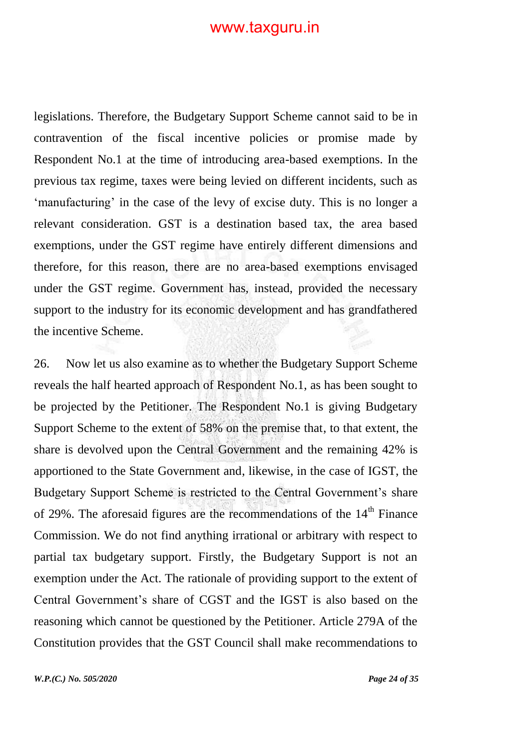legislations. Therefore, the Budgetary Support Scheme cannot said to be in contravention of the fiscal incentive policies or promise made by Respondent No.1 at the time of introducing area-based exemptions. In the previous tax regime, taxes were being levied on different incidents, such as 'manufacturing' in the case of the levy of excise duty. This is no longer a relevant consideration. GST is a destination based tax, the area based exemptions, under the GST regime have entirely different dimensions and therefore, for this reason, there are no area-based exemptions envisaged under the GST regime. Government has, instead, provided the necessary support to the industry for its economic development and has grandfathered the incentive Scheme.

26. Now let us also examine as to whether the Budgetary Support Scheme reveals the half hearted approach of Respondent No.1, as has been sought to be projected by the Petitioner. The Respondent No.1 is giving Budgetary Support Scheme to the extent of 58% on the premise that, to that extent, the share is devolved upon the Central Government and the remaining 42% is apportioned to the State Government and, likewise, in the case of IGST, the Budgetary Support Scheme is restricted to the Central Government's share of 29%. The aforesaid figures are the recommendations of the  $14<sup>th</sup>$  Finance Commission. We do not find anything irrational or arbitrary with respect to partial tax budgetary support. Firstly, the Budgetary Support is not an exemption under the Act. The rationale of providing support to the extent of Central Government"s share of CGST and the IGST is also based on the reasoning which cannot be questioned by the Petitioner. Article 279A of the Constitution provides that the GST Council shall make recommendations to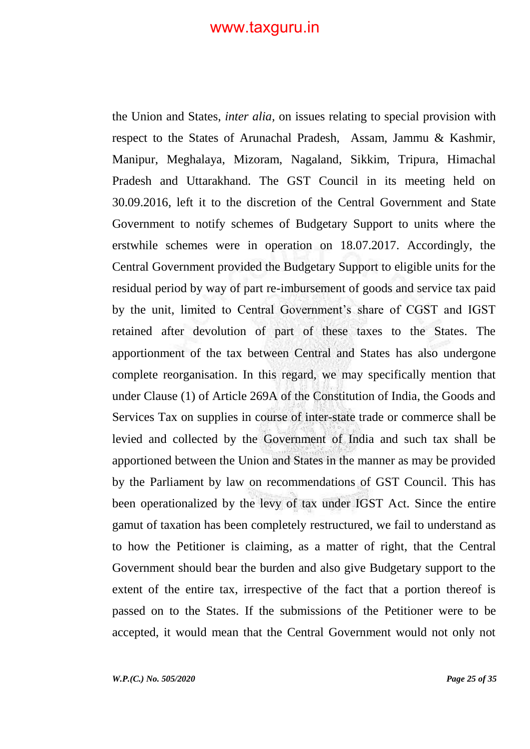the Union and States, *inter alia,* on issues relating to special provision with respect to the States of Arunachal Pradesh, Assam, Jammu & Kashmir, Manipur, Meghalaya, Mizoram, Nagaland, Sikkim, Tripura, Himachal Pradesh and Uttarakhand. The GST Council in its meeting held on 30.09.2016, left it to the discretion of the Central Government and State Government to notify schemes of Budgetary Support to units where the erstwhile schemes were in operation on 18.07.2017. Accordingly, the Central Government provided the Budgetary Support to eligible units for the residual period by way of part re-imbursement of goods and service tax paid by the unit, limited to Central Government's share of CGST and IGST retained after devolution of part of these taxes to the States. The apportionment of the tax between Central and States has also undergone complete reorganisation. In this regard, we may specifically mention that under Clause (1) of Article 269A of the Constitution of India, the Goods and Services Tax on supplies in course of inter-state trade or commerce shall be levied and collected by the Government of India and such tax shall be apportioned between the Union and States in the manner as may be provided by the Parliament by law on recommendations of GST Council. This has been operationalized by the levy of tax under IGST Act. Since the entire gamut of taxation has been completely restructured, we fail to understand as to how the Petitioner is claiming, as a matter of right, that the Central Government should bear the burden and also give Budgetary support to the extent of the entire tax, irrespective of the fact that a portion thereof is passed on to the States. If the submissions of the Petitioner were to be accepted, it would mean that the Central Government would not only not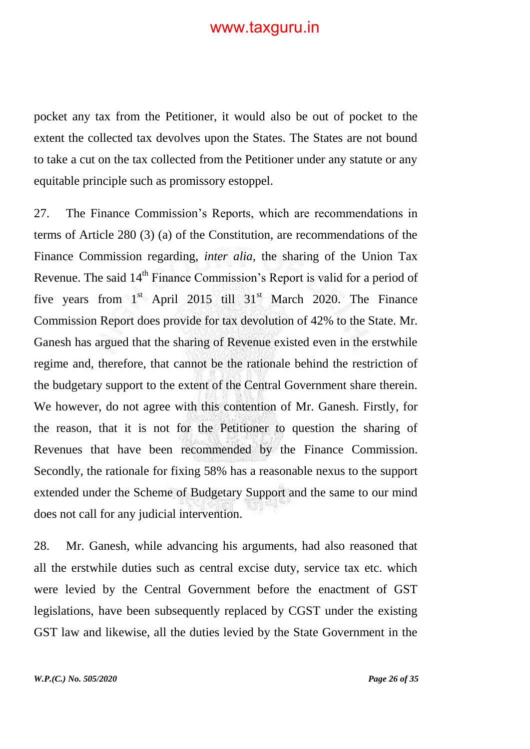pocket any tax from the Petitioner, it would also be out of pocket to the extent the collected tax devolves upon the States. The States are not bound to take a cut on the tax collected from the Petitioner under any statute or any equitable principle such as promissory estoppel.

27. The Finance Commission"s Reports, which are recommendations in terms of Article 280 (3) (a) of the Constitution, are recommendations of the Finance Commission regarding, *inter alia,* the sharing of the Union Tax Revenue. The said 14<sup>th</sup> Finance Commission's Report is valid for a period of five years from  $1<sup>st</sup>$  April 2015 till  $31<sup>st</sup>$  March 2020. The Finance Commission Report does provide for tax devolution of 42% to the State. Mr. Ganesh has argued that the sharing of Revenue existed even in the erstwhile regime and, therefore, that cannot be the rationale behind the restriction of the budgetary support to the extent of the Central Government share therein. We however, do not agree with this contention of Mr. Ganesh. Firstly, for the reason, that it is not for the Petitioner to question the sharing of Revenues that have been recommended by the Finance Commission. Secondly, the rationale for fixing 58% has a reasonable nexus to the support extended under the Scheme of Budgetary Support and the same to our mind does not call for any judicial intervention.

28. Mr. Ganesh, while advancing his arguments, had also reasoned that all the erstwhile duties such as central excise duty, service tax etc. which were levied by the Central Government before the enactment of GST legislations, have been subsequently replaced by CGST under the existing GST law and likewise, all the duties levied by the State Government in the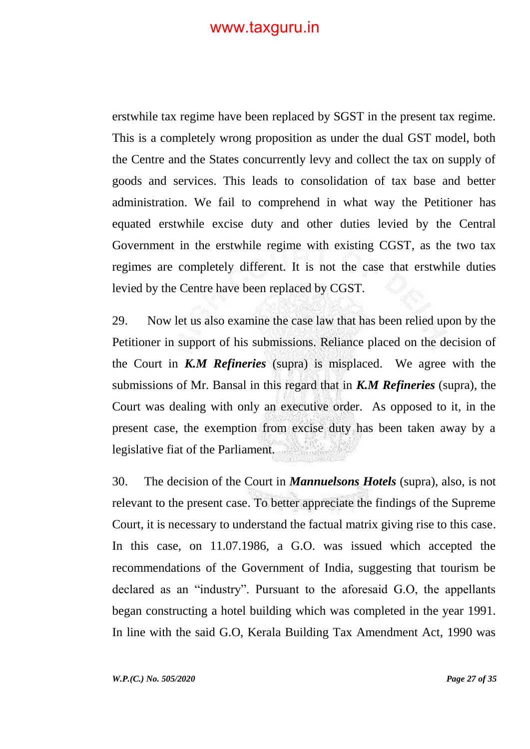erstwhile tax regime have been replaced by SGST in the present tax regime. This is a completely wrong proposition as under the dual GST model, both the Centre and the States concurrently levy and collect the tax on supply of goods and services. This leads to consolidation of tax base and better administration. We fail to comprehend in what way the Petitioner has equated erstwhile excise duty and other duties levied by the Central Government in the erstwhile regime with existing CGST, as the two tax regimes are completely different. It is not the case that erstwhile duties levied by the Centre have been replaced by CGST.

29. Now let us also examine the case law that has been relied upon by the Petitioner in support of his submissions. Reliance placed on the decision of the Court in *K.M Refineries* (supra) is misplaced. We agree with the submissions of Mr. Bansal in this regard that in *K.M Refineries* (supra), the Court was dealing with only an executive order. As opposed to it, in the present case, the exemption from excise duty has been taken away by a legislative fiat of the Parliament.

30. The decision of the Court in *Mannuelsons Hotels* (supra), also, is not relevant to the present case. To better appreciate the findings of the Supreme Court, it is necessary to understand the factual matrix giving rise to this case. In this case, on 11.07.1986, a G.O. was issued which accepted the recommendations of the Government of India, suggesting that tourism be declared as an "industry". Pursuant to the aforesaid G.O, the appellants began constructing a hotel building which was completed in the year 1991. In line with the said G.O, Kerala Building Tax Amendment Act, 1990 was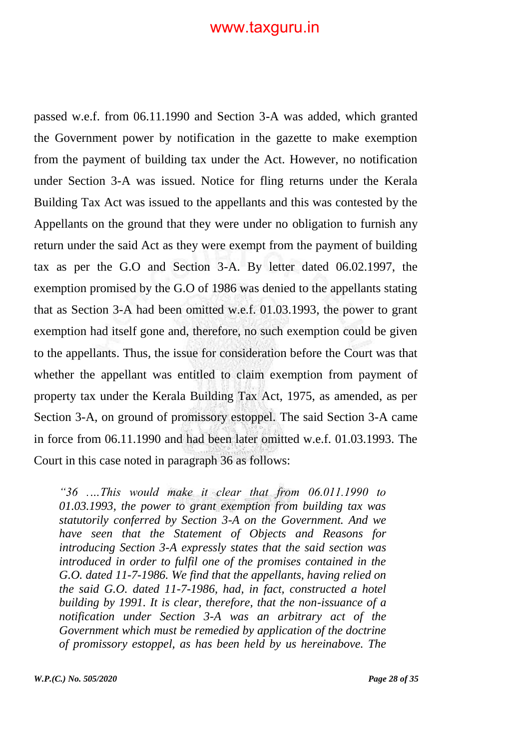passed w.e.f. from 06.11.1990 and Section 3-A was added, which granted the Government power by notification in the gazette to make exemption from the payment of building tax under the Act. However, no notification under Section 3-A was issued. Notice for fling returns under the Kerala Building Tax Act was issued to the appellants and this was contested by the Appellants on the ground that they were under no obligation to furnish any return under the said Act as they were exempt from the payment of building tax as per the G.O and Section 3-A. By letter dated 06.02.1997, the exemption promised by the G.O of 1986 was denied to the appellants stating that as Section 3-A had been omitted w.e.f. 01.03.1993, the power to grant exemption had itself gone and, therefore, no such exemption could be given to the appellants. Thus, the issue for consideration before the Court was that whether the appellant was entitled to claim exemption from payment of property tax under the Kerala Building Tax Act, 1975, as amended, as per Section 3-A, on ground of promissory estoppel. The said Section 3-A came in force from 06.11.1990 and had been later omitted w.e.f. 01.03.1993. The Court in this case noted in paragraph 36 as follows:

*"36 .…This would make it clear that from 06.011.1990 to 01.03.1993, the power to grant exemption from building tax was statutorily conferred by Section 3-A on the Government. And we have seen that the Statement of Objects and Reasons for introducing Section 3-A expressly states that the said section was introduced in order to fulfil one of the promises contained in the G.O. dated 11-7-1986. We find that the appellants, having relied on the said G.O. dated 11-7-1986, had, in fact, constructed a hotel building by 1991. It is clear, therefore, that the non-issuance of a notification under Section 3-A was an arbitrary act of the Government which must be remedied by application of the doctrine of promissory estoppel, as has been held by us hereinabove. The*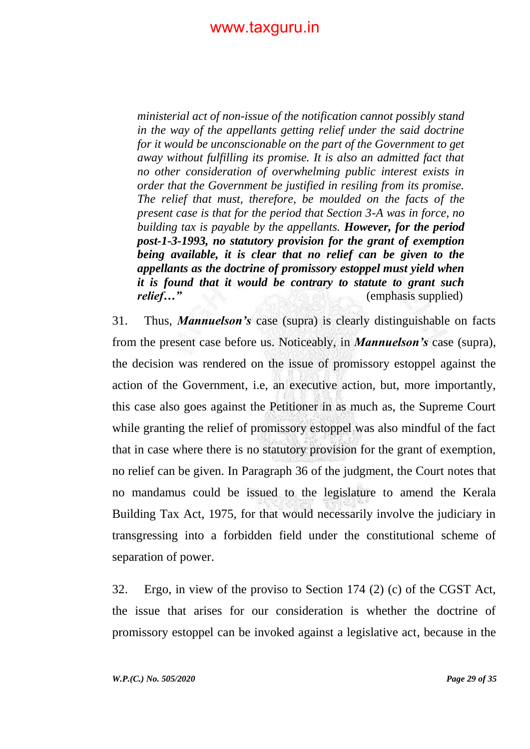*ministerial act of non-issue of the notification cannot possibly stand in the way of the appellants getting relief under the said doctrine for it would be unconscionable on the part of the Government to get away without fulfilling its promise. It is also an admitted fact that no other consideration of overwhelming public interest exists in order that the Government be justified in resiling from its promise. The relief that must, therefore, be moulded on the facts of the present case is that for the period that Section 3-A was in force, no building tax is payable by the appellants. However, for the period post-1-3-1993, no statutory provision for the grant of exemption being available, it is clear that no relief can be given to the appellants as the doctrine of promissory estoppel must yield when it is found that it would be contrary to statute to grant such relief…"* (emphasis supplied)

31. Thus, *Mannuelson's* case (supra) is clearly distinguishable on facts from the present case before us. Noticeably, in *Mannuelson's* case (supra), the decision was rendered on the issue of promissory estoppel against the action of the Government, i.e, an executive action, but, more importantly, this case also goes against the Petitioner in as much as, the Supreme Court while granting the relief of promissory estoppel was also mindful of the fact that in case where there is no statutory provision for the grant of exemption, no relief can be given. In Paragraph 36 of the judgment, the Court notes that no mandamus could be issued to the legislature to amend the Kerala Building Tax Act, 1975, for that would necessarily involve the judiciary in transgressing into a forbidden field under the constitutional scheme of separation of power.

32. Ergo, in view of the proviso to Section 174 (2) (c) of the CGST Act, the issue that arises for our consideration is whether the doctrine of promissory estoppel can be invoked against a legislative act, because in the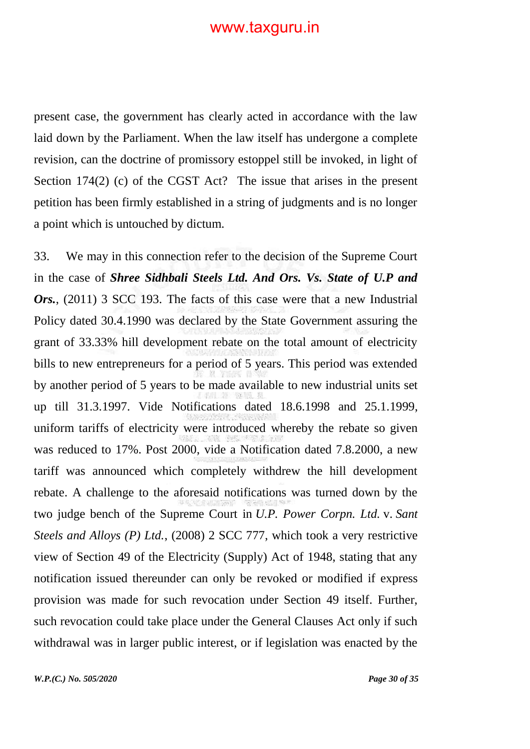present case, the government has clearly acted in accordance with the law laid down by the Parliament. When the law itself has undergone a complete revision, can the doctrine of promissory estoppel still be invoked, in light of Section 174(2) (c) of the CGST Act? The issue that arises in the present petition has been firmly established in a string of judgments and is no longer a point which is untouched by dictum.

33. We may in this connection refer to the decision of the Supreme Court in the case of *Shree Sidhbali Steels Ltd. And Ors. Vs. State of U.P and Ors.*, (2011) 3 SCC 193. The facts of this case were that a new Industrial Policy dated 30.4.1990 was declared by the State Government assuring the grant of 33.33% hill development rebate on the total amount of electricity bills to new entrepreneurs for a period of 5 years. This period was extended by another period of 5 years to be made available to new industrial units set up till 31.3.1997. Vide Notifications dated 18.6.1998 and 25.1.1999, uniform tariffs of electricity were introduced whereby the rebate so given was reduced to 17%. Post 2000, vide a Notification dated 7.8.2000, a new tariff was announced which completely withdrew the hill development rebate. A challenge to the aforesaid notifications was turned down by the two judge bench of the Supreme Court in *U.P. Power Corpn. Ltd.* v. *Sant Steels and Alloys (P) Ltd.*, (2008) 2 SCC 777, which took a very restrictive view of Section 49 of the Electricity (Supply) Act of 1948, stating that any notification issued thereunder can only be revoked or modified if express provision was made for such revocation under Section 49 itself. Further, such revocation could take place under the General Clauses Act only if such withdrawal was in larger public interest, or if legislation was enacted by the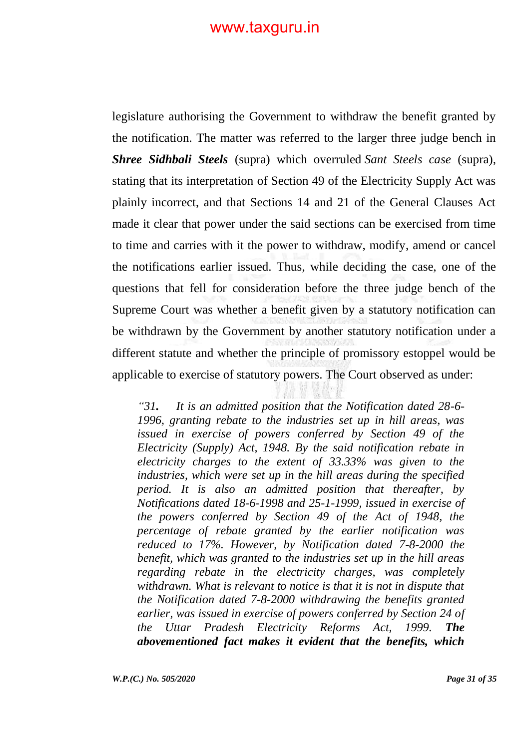legislature authorising the Government to withdraw the benefit granted by the notification. The matter was referred to the larger three judge bench in *Shree Sidhbali Steels* (supra) which overruled *Sant Steels case* (supra), stating that its interpretation of Section 49 of the Electricity Supply Act was plainly incorrect, and that Sections 14 and 21 of the General Clauses Act made it clear that power under the said sections can be exercised from time to time and carries with it the power to withdraw, modify, amend or cancel the notifications earlier issued. Thus, while deciding the case, one of the questions that fell for consideration before the three judge bench of the Supreme Court was whether a benefit given by a statutory notification can be withdrawn by the Government by another statutory notification under a different statute and whether the principle of promissory estoppel would be applicable to exercise of statutory powers. The Court observed as under:

*"31. It is an admitted position that the Notification dated 28-6- 1996, granting rebate to the industries set up in hill areas, was issued in exercise of powers conferred by Section 49 of the Electricity (Supply) Act, 1948. By the said notification rebate in electricity charges to the extent of 33.33% was given to the industries, which were set up in the hill areas during the specified period. It is also an admitted position that thereafter, by Notifications dated 18-6-1998 and 25-1-1999, issued in exercise of the powers conferred by Section 49 of the Act of 1948, the percentage of rebate granted by the earlier notification was reduced to 17%. However, by Notification dated 7-8-2000 the benefit, which was granted to the industries set up in the hill areas regarding rebate in the electricity charges, was completely withdrawn. What is relevant to notice is that it is not in dispute that the Notification dated 7-8-2000 withdrawing the benefits granted earlier, was issued in exercise of powers conferred by Section 24 of the Uttar Pradesh Electricity Reforms Act, 1999. The abovementioned fact makes it evident that the benefits, which*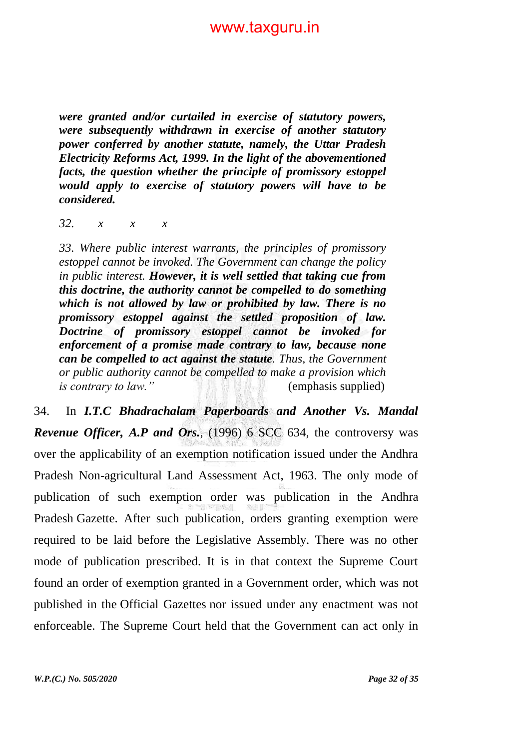*were granted and/or curtailed in exercise of statutory powers, were subsequently withdrawn in exercise of another statutory power conferred by another statute, namely, the Uttar Pradesh Electricity Reforms Act, 1999. In the light of the abovementioned facts, the question whether the principle of promissory estoppel would apply to exercise of statutory powers will have to be considered.*

*32. x x x*

*33. Where public interest warrants, the principles of promissory estoppel cannot be invoked. The Government can change the policy in public interest. However, it is well settled that taking cue from this doctrine, the authority cannot be compelled to do something which is not allowed by law or prohibited by law. There is no promissory estoppel against the settled proposition of law. Doctrine of promissory estoppel cannot be invoked for enforcement of a promise made contrary to law, because none can be compelled to act against the statute. Thus, the Government or public authority cannot be compelled to make a provision which is contrary to law."* (emphasis supplied)

34. In *I.T.C Bhadrachalam Paperboards and Another Vs. Mandal Revenue Officer, A.P and Ors.*, (1996) 6 SCC 634, the controversy was over the applicability of an exemption notification issued under the Andhra Pradesh Non-agricultural Land Assessment Act, 1963. The only mode of publication of such exemption order was publication in the Andhra Pradesh Gazette. After such publication, orders granting exemption were required to be laid before the Legislative Assembly. There was no other mode of publication prescribed. It is in that context the Supreme Court found an order of exemption granted in a Government order, which was not published in the Official Gazettes nor issued under any enactment was not enforceable. The Supreme Court held that the Government can act only in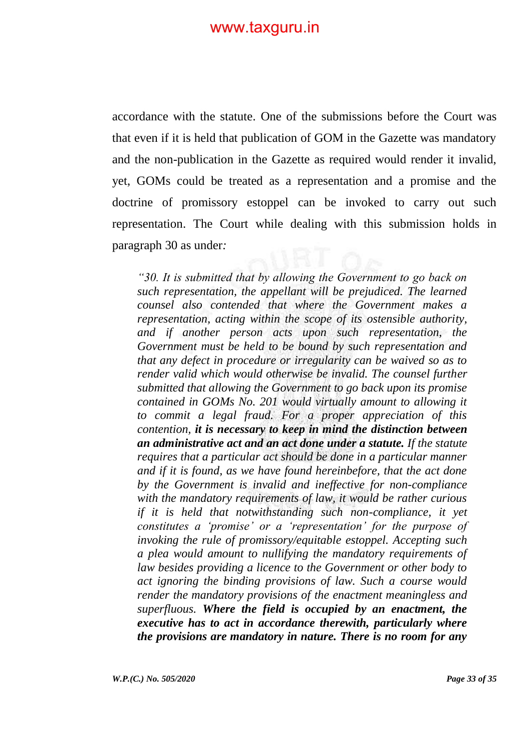accordance with the statute. One of the submissions before the Court was that even if it is held that publication of GOM in the Gazette was mandatory and the non-publication in the Gazette as required would render it invalid, yet, GOMs could be treated as a representation and a promise and the doctrine of promissory estoppel can be invoked to carry out such representation. The Court while dealing with this submission holds in paragraph 30 as under*:*

*"30. It is submitted that by allowing the Government to go back on such representation, the appellant will be prejudiced. The learned counsel also contended that where the Government makes a representation, acting within the scope of its ostensible authority, and if another person acts upon such representation, the Government must be held to be bound by such representation and that any defect in procedure or irregularity can be waived so as to render valid which would otherwise be invalid. The counsel further submitted that allowing the Government to go back upon its promise contained in GOMs No. 201 would virtually amount to allowing it to commit a legal fraud. For a proper appreciation of this contention, it is necessary to keep in mind the distinction between an administrative act and an act done under a statute. If the statute requires that a particular act should be done in a particular manner and if it is found, as we have found hereinbefore, that the act done by the Government is invalid and ineffective for non-compliance with the mandatory requirements of law, it would be rather curious if it is held that notwithstanding such non-compliance, it yet constitutes a "promise" or a "representation" for the purpose of invoking the rule of promissory/equitable estoppel. Accepting such a plea would amount to nullifying the mandatory requirements of law besides providing a licence to the Government or other body to act ignoring the binding provisions of law. Such a course would render the mandatory provisions of the enactment meaningless and superfluous. Where the field is occupied by an enactment, the executive has to act in accordance therewith, particularly where the provisions are mandatory in nature. There is no room for any*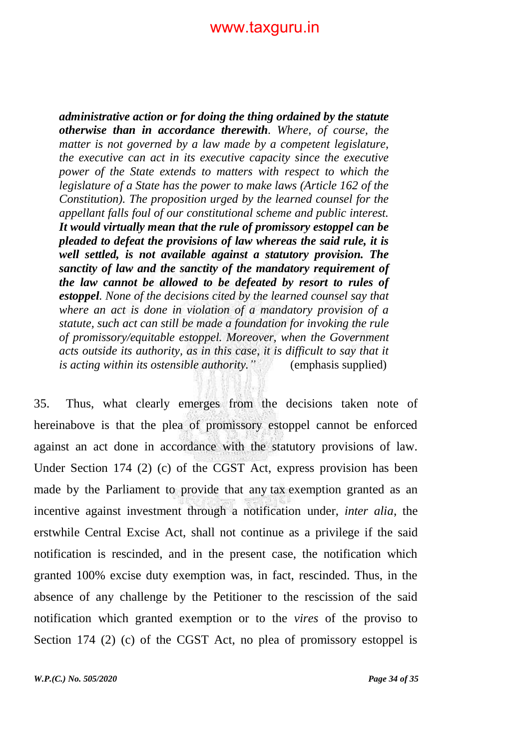*administrative action or for doing the thing ordained by the statute otherwise than in accordance therewith. Where, of course, the matter is not governed by a law made by a competent legislature, the executive can act in its executive capacity since the executive power of the State extends to matters with respect to which the legislature of a State has the power to make laws (Article 162 of the Constitution). The proposition urged by the learned counsel for the appellant falls foul of our constitutional scheme and public interest. It would virtually mean that the rule of promissory estoppel can be pleaded to defeat the provisions of law whereas the said rule, it is well settled, is not available against a statutory provision. The sanctity of law and the sanctity of the mandatory requirement of the law cannot be allowed to be defeated by resort to rules of estoppel. None of the decisions cited by the learned counsel say that where an act is done in violation of a mandatory provision of a statute, such act can still be made a foundation for invoking the rule of promissory/equitable estoppel. Moreover, when the Government acts outside its authority, as in this case, it is difficult to say that it is acting within its ostensible authority."* (emphasis supplied)

35. Thus, what clearly emerges from the decisions taken note of hereinabove is that the plea of promissory estoppel cannot be enforced against an act done in accordance with the statutory provisions of law. Under Section 174 (2) (c) of the CGST Act, express provision has been made by the Parliament to provide that any tax exemption granted as an incentive against investment through a notification under, *inter alia*, the erstwhile Central Excise Act, shall not continue as a privilege if the said notification is rescinded, and in the present case, the notification which granted 100% excise duty exemption was, in fact, rescinded. Thus, in the absence of any challenge by the Petitioner to the rescission of the said notification which granted exemption or to the *vires* of the proviso to Section 174 (2) (c) of the CGST Act, no plea of promissory estoppel is